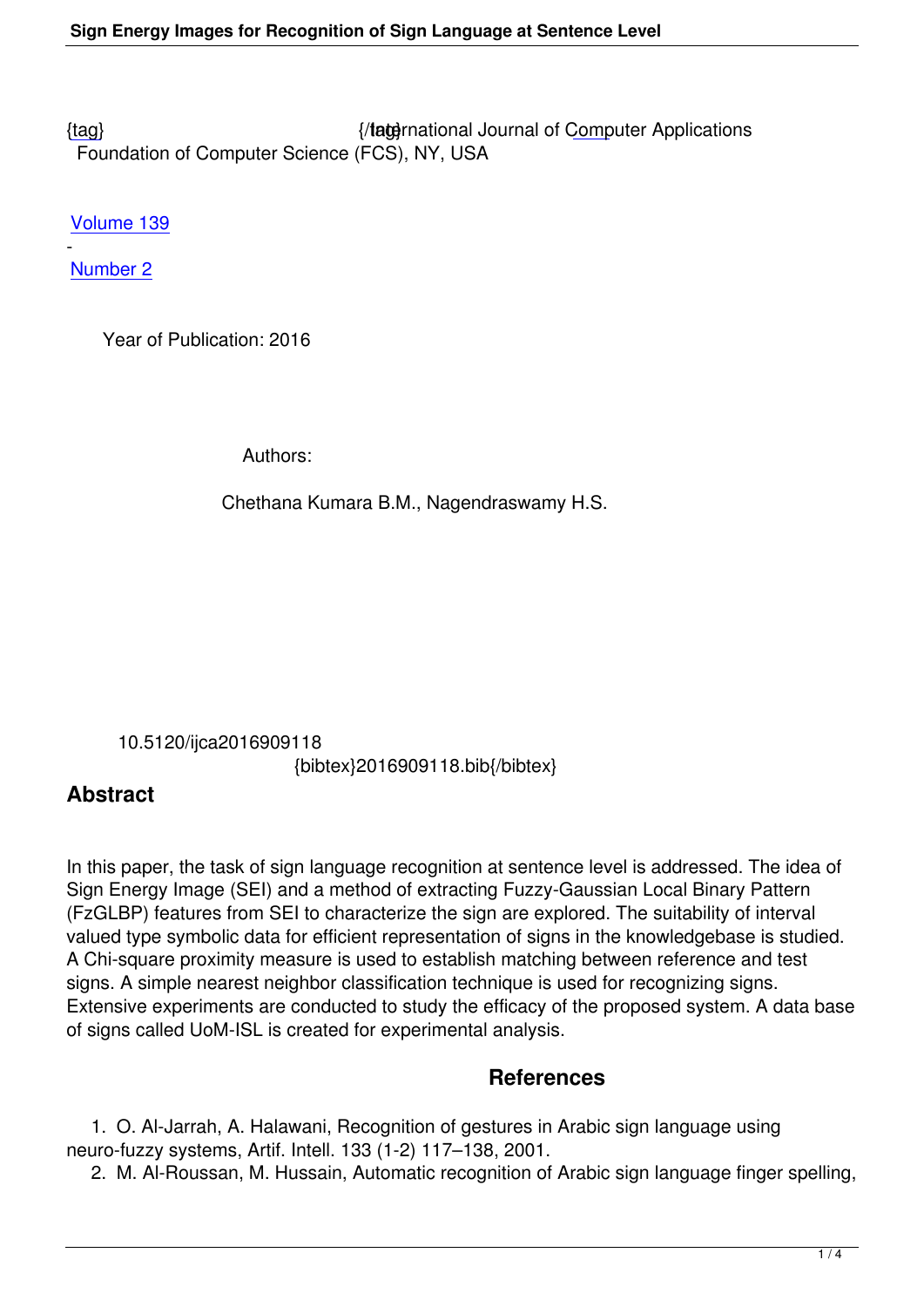{tag} International Journal of Computer Applications Foundation of Computer Science (FCS), NY, USA

[Volu](/research/volume139/number2/kumara-2016-ijca-909118.pdf)me 139

- Number 2

 [Year o](/archives/volume139/number2)f Publication: 2016

Authors:

Chethana Kumara B.M., Nagendraswamy H.S.

 10.5120/ijca2016909118 {bibtex}2016909118.bib{/bibtex}

## **Abstract**

In this paper, the task of sign language recognition at sentence level is addressed. The idea of Sign Energy Image (SEI) and a method of extracting Fuzzy-Gaussian Local Binary Pattern (FzGLBP) features from SEI to characterize the sign are explored. The suitability of interval valued type symbolic data for efficient representation of signs in the knowledgebase is studied. A Chi-square proximity measure is used to establish matching between reference and test signs. A simple nearest neighbor classification technique is used for recognizing signs. Extensive experiments are conducted to study the efficacy of the proposed system. A data base of signs called UoM-ISL is created for experimental analysis.

## **References**

 1. O. Al-Jarrah, A. Halawani, Recognition of gestures in Arabic sign language using neuro-fuzzy systems, Artif. Intell. 133 (1-2) 117–138, 2001.

2. M. Al-Roussan, M. Hussain, Automatic recognition of Arabic sign language finger spelling,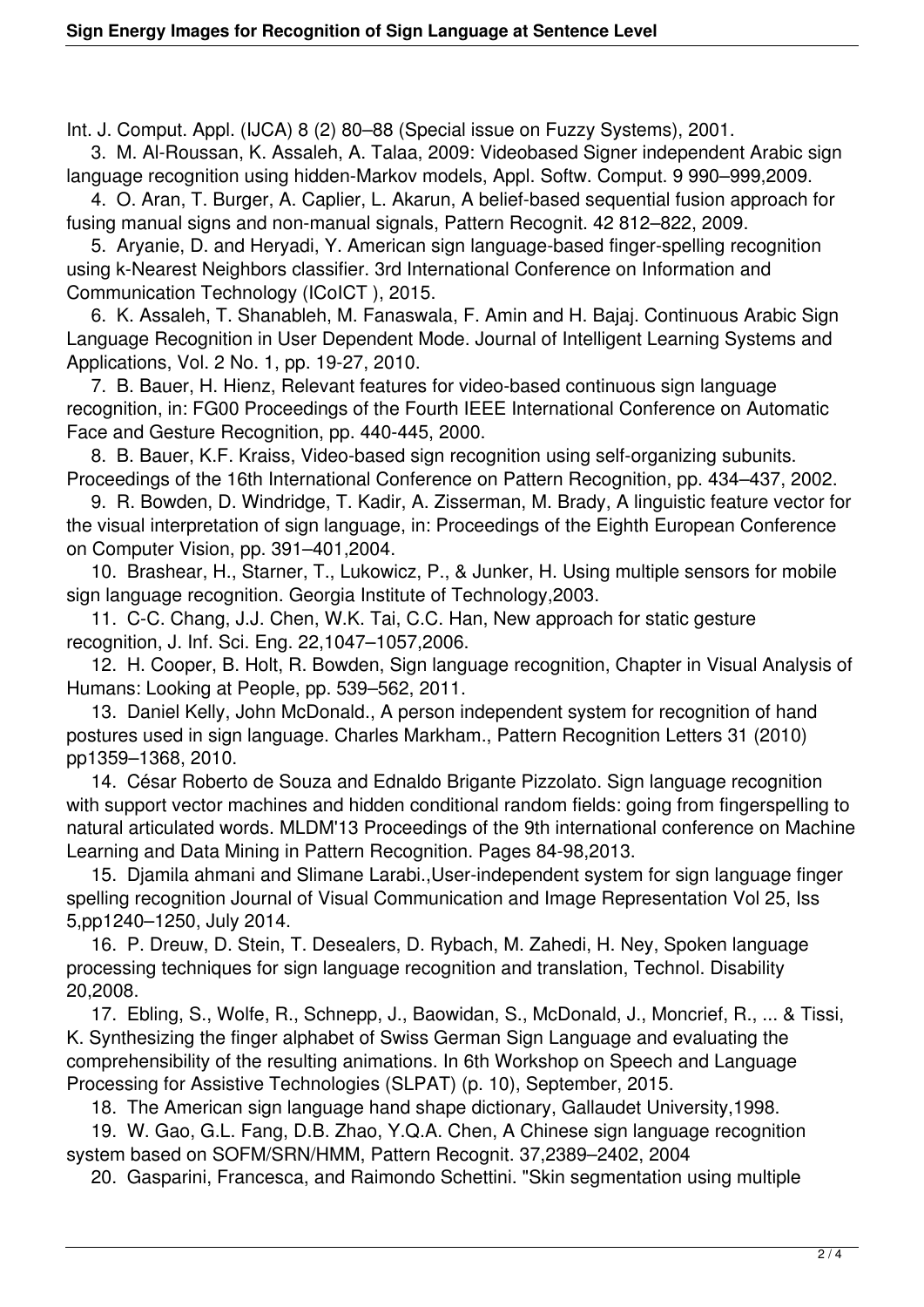Int. J. Comput. Appl. (IJCA) 8 (2) 80–88 (Special issue on Fuzzy Systems), 2001.

 3. M. Al-Roussan, K. Assaleh, A. Talaa, 2009: Videobased Signer independent Arabic sign language recognition using hidden-Markov models, Appl. Softw. Comput. 9 990–999,2009.

 4. O. Aran, T. Burger, A. Caplier, L. Akarun, A belief-based sequential fusion approach for fusing manual signs and non-manual signals, Pattern Recognit. 42 812–822, 2009.

 5. Aryanie, D. and Heryadi, Y. American sign language-based finger-spelling recognition using k-Nearest Neighbors classifier. 3rd International Conference on Information and Communication Technology (ICoICT ), 2015.

 6. K. Assaleh, T. Shanableh, M. Fanaswala, F. Amin and H. Bajaj. Continuous Arabic Sign Language Recognition in User Dependent Mode. Journal of Intelligent Learning Systems and Applications, Vol. 2 No. 1, pp. 19-27, 2010.

 7. B. Bauer, H. Hienz, Relevant features for video-based continuous sign language recognition, in: FG00 Proceedings of the Fourth IEEE International Conference on Automatic Face and Gesture Recognition, pp. 440-445, 2000.

 8. B. Bauer, K.F. Kraiss, Video-based sign recognition using self-organizing subunits. Proceedings of the 16th International Conference on Pattern Recognition, pp. 434–437, 2002.

 9. R. Bowden, D. Windridge, T. Kadir, A. Zisserman, M. Brady, A linguistic feature vector for the visual interpretation of sign language, in: Proceedings of the Eighth European Conference on Computer Vision, pp. 391–401,2004.

 10. Brashear, H., Starner, T., Lukowicz, P., & Junker, H. Using multiple sensors for mobile sign language recognition. Georgia Institute of Technology,2003.

 11. C-C. Chang, J.J. Chen, W.K. Tai, C.C. Han, New approach for static gesture recognition, J. Inf. Sci. Eng. 22,1047–1057,2006.

 12. H. Cooper, B. Holt, R. Bowden, Sign language recognition, Chapter in Visual Analysis of Humans: Looking at People, pp. 539–562, 2011.

 13. Daniel Kelly, John McDonald., A person independent system for recognition of hand postures used in sign language. Charles Markham., Pattern Recognition Letters 31 (2010) pp1359–1368, 2010.

 14. César Roberto de Souza and Ednaldo Brigante Pizzolato. Sign language recognition with support vector machines and hidden conditional random fields: going from fingerspelling to natural articulated words. MLDM'13 Proceedings of the 9th international conference on Machine Learning and Data Mining in Pattern Recognition. Pages 84-98,2013.

 15. Djamila ahmani and Slimane Larabi.,User-independent system for sign language finger spelling recognition Journal of Visual Communication and Image Representation Vol 25, Iss 5,pp1240–1250, July 2014.

 16. P. Dreuw, D. Stein, T. Desealers, D. Rybach, M. Zahedi, H. Ney, Spoken language processing techniques for sign language recognition and translation, Technol. Disability 20,2008.

 17. Ebling, S., Wolfe, R., Schnepp, J., Baowidan, S., McDonald, J., Moncrief, R., ... & Tissi, K. Synthesizing the finger alphabet of Swiss German Sign Language and evaluating the comprehensibility of the resulting animations. In 6th Workshop on Speech and Language Processing for Assistive Technologies (SLPAT) (p. 10), September, 2015.

18. The American sign language hand shape dictionary, Gallaudet University,1998.

 19. W. Gao, G.L. Fang, D.B. Zhao, Y.Q.A. Chen, A Chinese sign language recognition system based on SOFM/SRN/HMM, Pattern Recognit. 37,2389–2402, 2004

20. Gasparini, Francesca, and Raimondo Schettini. "Skin segmentation using multiple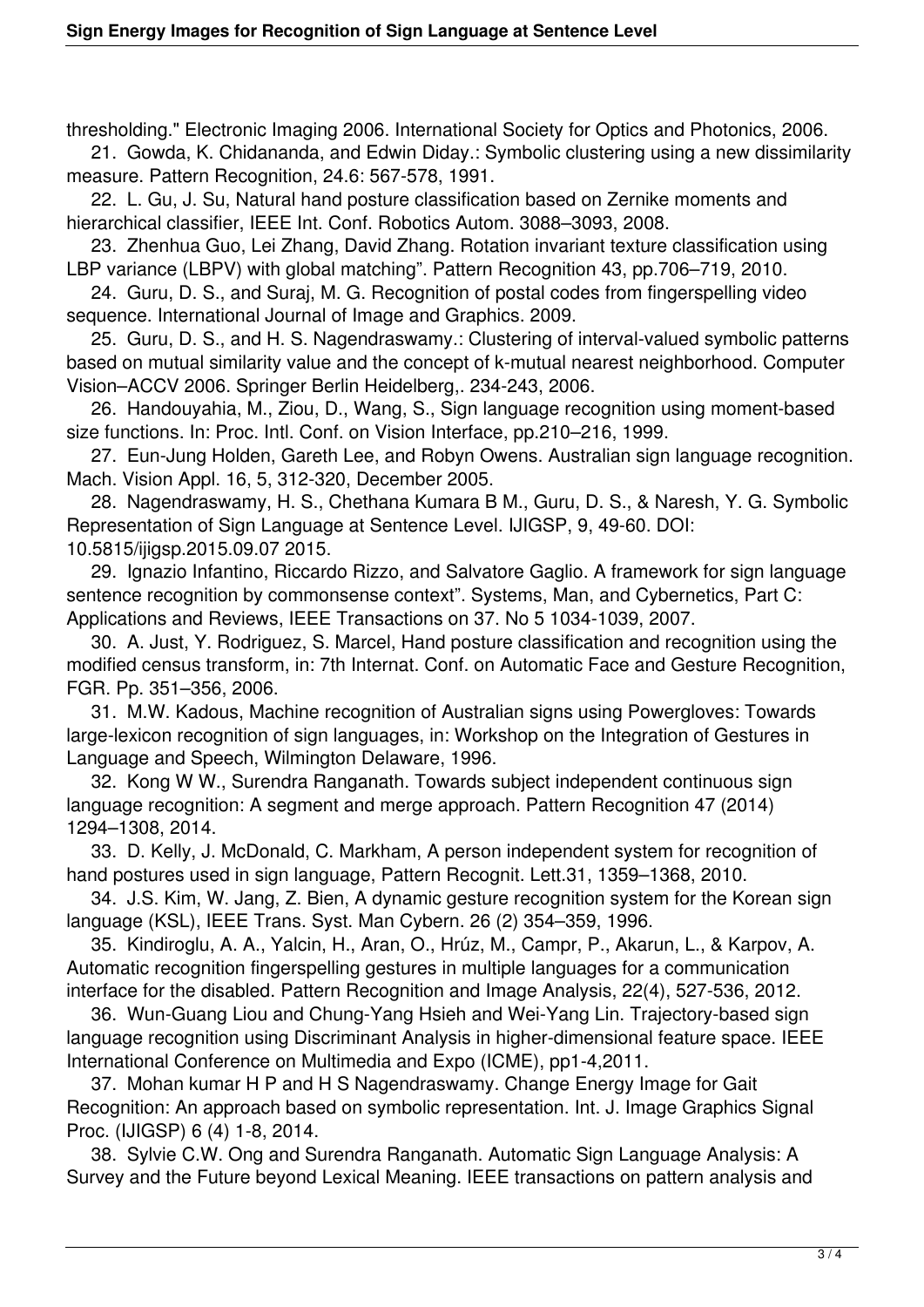thresholding." Electronic Imaging 2006. International Society for Optics and Photonics, 2006.

 21. Gowda, K. Chidananda, and Edwin Diday.: Symbolic clustering using a new dissimilarity measure. Pattern Recognition, 24.6: 567-578, 1991.

 22. L. Gu, J. Su, Natural hand posture classification based on Zernike moments and hierarchical classifier, IEEE Int. Conf. Robotics Autom. 3088–3093, 2008.

 23. Zhenhua Guo, Lei Zhang, David Zhang. Rotation invariant texture classification using LBP variance (LBPV) with global matching". Pattern Recognition 43, pp.706–719, 2010.

 24. Guru, D. S., and Suraj, M. G. Recognition of postal codes from fingerspelling video sequence. International Journal of Image and Graphics. 2009.

 25. Guru, D. S., and H. S. Nagendraswamy.: Clustering of interval-valued symbolic patterns based on mutual similarity value and the concept of k-mutual nearest neighborhood. Computer Vision–ACCV 2006. Springer Berlin Heidelberg,. 234-243, 2006.

 26. Handouyahia, M., Ziou, D., Wang, S., Sign language recognition using moment-based size functions. In: Proc. Intl. Conf. on Vision Interface, pp.210–216, 1999.

 27. Eun-Jung Holden, Gareth Lee, and Robyn Owens. Australian sign language recognition. Mach. Vision Appl. 16, 5, 312-320, December 2005.

 28. Nagendraswamy, H. S., Chethana Kumara B M., Guru, D. S., & Naresh, Y. G. Symbolic Representation of Sign Language at Sentence Level. IJIGSP, 9, 49-60. DOI: 10.5815/ijigsp.2015.09.07 2015.

 29. Ignazio Infantino, Riccardo Rizzo, and Salvatore Gaglio. A framework for sign language sentence recognition by commonsense context". Systems, Man, and Cybernetics, Part C: Applications and Reviews, IEEE Transactions on 37. No 5 1034-1039, 2007.

 30. A. Just, Y. Rodriguez, S. Marcel, Hand posture classification and recognition using the modified census transform, in: 7th Internat. Conf. on Automatic Face and Gesture Recognition, FGR. Pp. 351–356, 2006.

 31. M.W. Kadous, Machine recognition of Australian signs using Powergloves: Towards large-lexicon recognition of sign languages, in: Workshop on the Integration of Gestures in Language and Speech, Wilmington Delaware, 1996.

 32. Kong W W., Surendra Ranganath. Towards subject independent continuous sign language recognition: A segment and merge approach. Pattern Recognition 47 (2014) 1294–1308, 2014.

 33. D. Kelly, J. McDonald, C. Markham, A person independent system for recognition of hand postures used in sign language, Pattern Recognit. Lett.31, 1359–1368, 2010.

 34. J.S. Kim, W. Jang, Z. Bien, A dynamic gesture recognition system for the Korean sign language (KSL), IEEE Trans. Syst. Man Cybern. 26 (2) 354–359, 1996.

 35. Kindiroglu, A. A., Yalcin, H., Aran, O., Hrúz, M., Campr, P., Akarun, L., & Karpov, A. Automatic recognition fingerspelling gestures in multiple languages for a communication interface for the disabled. Pattern Recognition and Image Analysis, 22(4), 527-536, 2012.

 36. Wun-Guang Liou and Chung-Yang Hsieh and Wei-Yang Lin. Trajectory-based sign language recognition using Discriminant Analysis in higher-dimensional feature space. IEEE International Conference on Multimedia and Expo (ICME), pp1-4,2011.

 37. Mohan kumar H P and H S Nagendraswamy. Change Energy Image for Gait Recognition: An approach based on symbolic representation. Int. J. Image Graphics Signal Proc. (IJIGSP) 6 (4) 1-8, 2014.

 38. Sylvie C.W. Ong and Surendra Ranganath. Automatic Sign Language Analysis: A Survey and the Future beyond Lexical Meaning. IEEE transactions on pattern analysis and